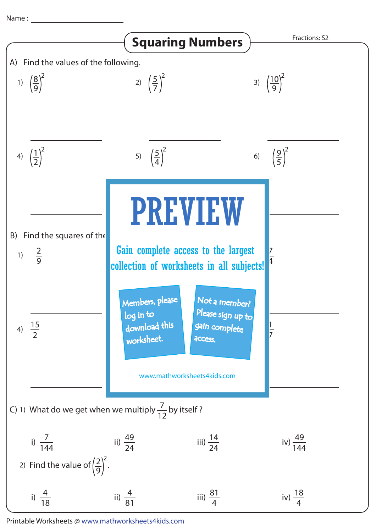Name :



Printable Worksheets @ www.mathworksheets4kids.com